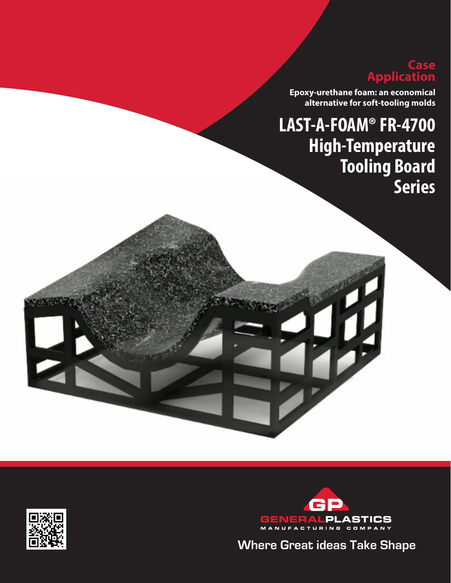## **Case Application**

**Epoxy-urethane foam: an economical alternative for soft-tooling molds**

# **LAST-A-FOAM® FR-4700 High-Temperature Tooling Board Series**





**Where Great ideas Take Shape Where Great Ideas Take Shape**